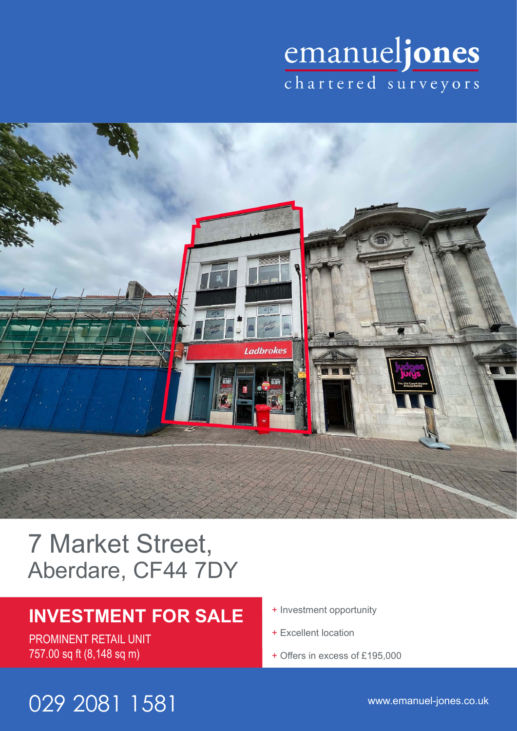# emanueljones



## 7 Market Street, Aberdare, CF44 7DY

## **INVESTMENT FOR SALE**

PROMINENT RETAIL UNIT 757.00 sq ft (8,148 sq m)

- + Investment opportunity
- + Excellent location
- + Offers in excess of £195,000

## www.emanuel-jones.co.uk 029 2081 1581